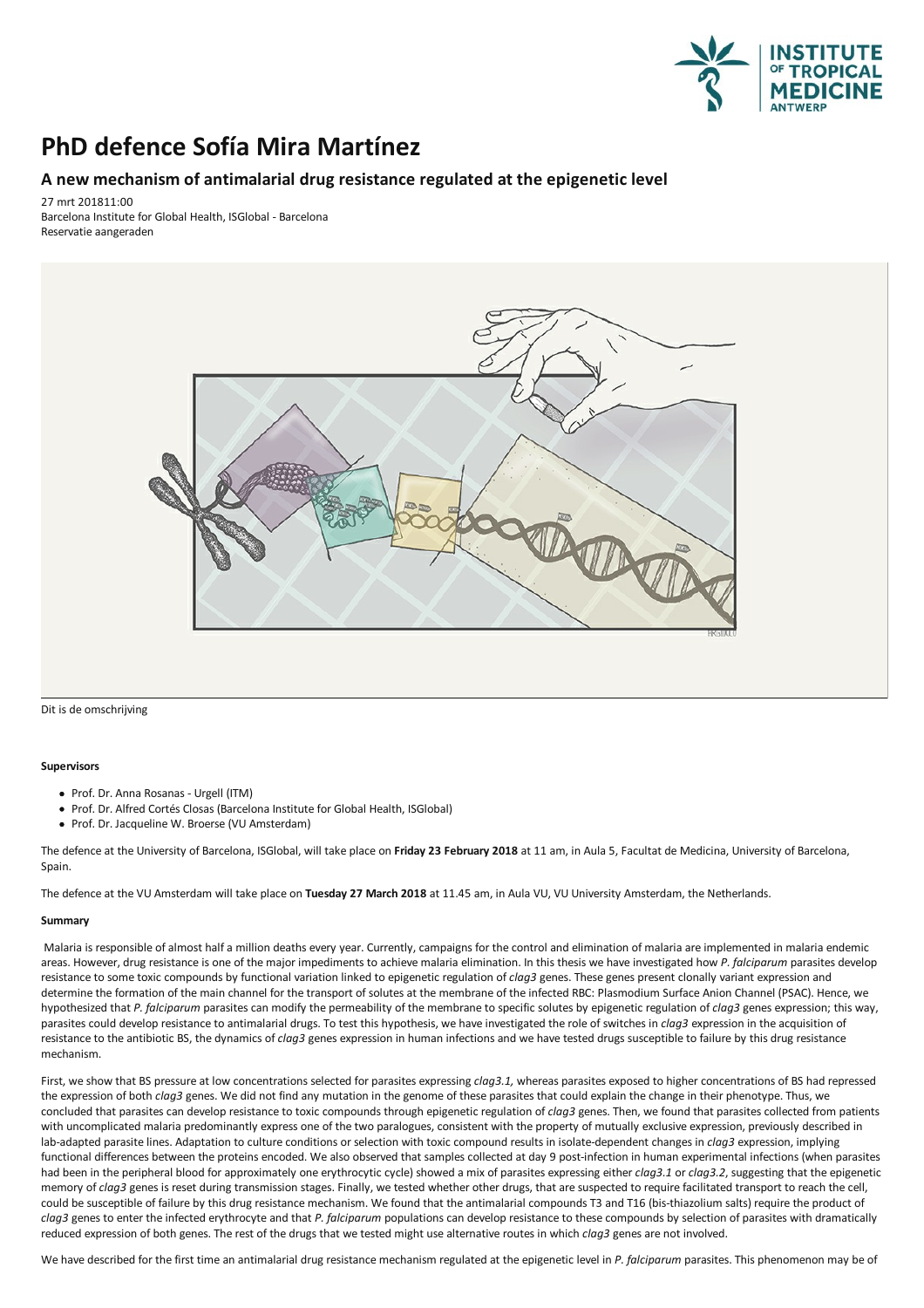

## **PhD defence Sofía Mira Martínez**

## **A new mechanism of antimalarial drugresistance regulated at the epigenetic level**

27 mrt 201811:00

Barcelona Institute for Global Health, ISGlobal - Barcelona Reservatie aangeraden



Dit is de omschrijving

## **Supervisors**

- Prof. Dr. Anna Rosanas Urgell (ITM)
- Prof. Dr. Alfred Cortés Closas (Barcelona Institute for Global Health, ISGlobal)
- Prof. Dr. Jacqueline W. Broerse (VU Amsterdam)

The defence at the University of Barcelona, ISGlobal, will take place on **Friday 23 February 2018** at 11 am, in Aula 5,Facultat deMedicina, University of Barcelona, Spain.

The defence at the VU Amsterdam will take place on **Tuesday 27 March 2018** at 11.45 am, in Aula VU, VU University Amsterdam, the Netherlands.

## **Summary**

Malaria is responsible of almost half a million deaths every year. Currently, campaigns for the control and elimination of malaria are implemented in malaria endemic areas. However, drug resistance is one of the major impediments to achieve malaria elimination. In this thesis we have investigated how *P. falciparum* parasites develop resistance to some toxic compounds by functional variation linked to epigenetic regulation of *clag3* genes.These genes present clonally variant expression and determine the formation of the main channel for the transport of solutes at the membrane of the infected RBC: Plasmodium Surface Anion Channel (PSAC). Hence, we hypothesized that *P. falciparum* parasites can modify the permeability of the membrane to specific solutes by epigenetic regulation of *clag3* genes expression; this way, parasites could develop resistance to antimalarial drugs. To test this hypothesis, we have investigated the role of switches in *clag3* expression in the acquisition of resistance to the antibiotic BS, the dynamics of *clag3* genes expression in human infections and we have tested drugs susceptible to failure by this drug resistance mechanism.

First, we show that BS pressure at low concentrations selected for parasites expressing *clag3.1,* whereas parasites exposed to higher concentrations of BS had repressed the expression of both *clag3* genes. We did not find any mutation in the genome of these parasites that could explain the change in their phenotype.Thus, we concluded that parasites can develop resistance to toxic compounds through epigenetic regulation of *clag3* genes. Then, we found that parasites collected from patients with uncomplicated malaria predominantly express one lab-adapted parasite lines. Adaptation to culture conditions or selection with toxic compound results in isolate-dependent changes in *clag3* expression, implying functional differences between the proteins encoded. We also observed that samples collected at day 9 post-infection in human experimental infections (when parasites had been in the peripheral blood for approximately one erythrocytic cycle) showed a mix of parasites expressing either *clag3.1* or *clag3.2*, suggesting that the epigenetic memory of *clag3* genes is reset during transmis could be susceptible of failure by this drug resistance mechanism. We found that the antimalarial compoundsT3 and T16 (bis-thiazolium salts) require the product of *clag3* genes to enter the infected erythrocyte and that *P. falciparum* populations can develop resistance to these compounds by selection of parasites with dramatically reduced expression of both genes. The rest of the drugs that we tested might use alternative routes in which *clag3* genes are not involved.

We have described for the first time an antimalarial drug resistance mechanism regulated at the epigenetic level in *P. falciparum* parasites.This phenomenon may be of